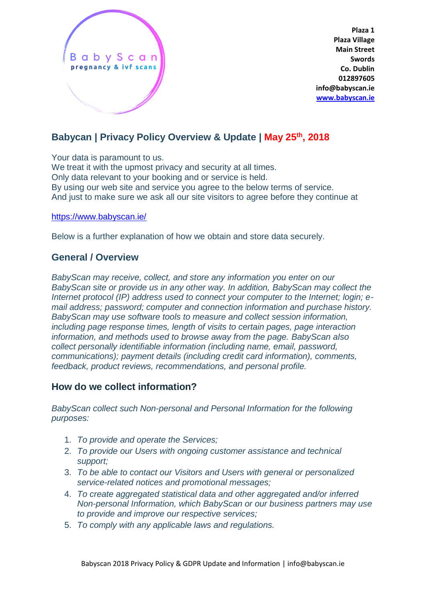

**Plaza 1 Plaza Village Main Street Swords Co. Dublin 012897605 info@babyscan.ie [www.babyscan.ie](http://www.babyscan.ie/)**

# **Babycan | Privacy Policy Overview & Update | May 25th, 2018**

Your data is paramount to us. We treat it with the upmost privacy and security at all times. Only data relevant to your booking and or service is held. By using our web site and service you agree to the below terms of service. And just to make sure we ask all our site visitors to agree before they continue at

#### <https://www.babyscan.ie/>

Below is a further explanation of how we obtain and store data securely.

### **General / Overview**

*BabyScan may receive, collect, and store any information you enter on our BabyScan site or provide us in any other way. In addition, BabyScan may collect the Internet protocol (IP) address used to connect your computer to the Internet; login; email address; password; computer and connection information and purchase history. BabyScan may use software tools to measure and collect session information, including page response times, length of visits to certain pages, page interaction information, and methods used to browse away from the page. BabyScan also collect personally identifiable information (including name, email, password, communications); payment details (including credit card information), comments, feedback, product reviews, recommendations, and personal profile.*

### **How do we collect information?**

*BabyScan collect such Non-personal and Personal Information for the following purposes:*

- 1. *To provide and operate the Services;*
- 2. *To provide our Users with ongoing customer assistance and technical support;*
- 3. *To be able to contact our Visitors and Users with general or personalized service-related notices and promotional messages;*
- 4. *To create aggregated statistical data and other aggregated and/or inferred Non-personal Information, which BabyScan or our business partners may use to provide and improve our respective services;*
- 5. *To comply with any applicable laws and regulations.*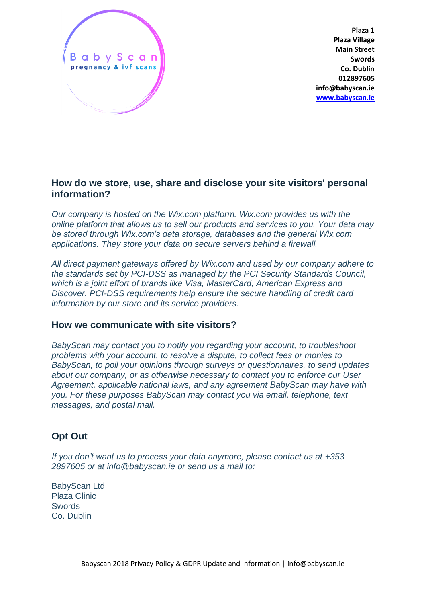

**Plaza 1 Plaza Village Main Street Swords Co. Dublin 012897605 info@babyscan.ie [www.babyscan.ie](http://www.babyscan.ie/)**

### **How do we store, use, share and disclose your site visitors' personal information?**

*Our company is hosted on the Wix.com platform. Wix.com provides us with the online platform that allows us to sell our products and services to you. Your data may be stored through Wix.com's data storage, databases and the general Wix.com applications. They store your data on secure servers behind a firewall.*

*All direct payment gateways offered by Wix.com and used by our company adhere to the standards set by PCI-DSS as managed by the PCI Security Standards Council, which is a joint effort of brands like Visa, MasterCard, American Express and Discover. PCI-DSS requirements help ensure the secure handling of credit card information by our store and its service providers.*

### **How we communicate with site visitors?**

*BabyScan may contact you to notify you regarding your account, to troubleshoot problems with your account, to resolve a dispute, to collect fees or monies to BabyScan, to poll your opinions through surveys or questionnaires, to send updates about our company, or as otherwise necessary to contact you to enforce our User Agreement, applicable national laws, and any agreement BabyScan may have with you. For these purposes BabyScan may contact you via email, telephone, text messages, and postal mail.*

# **Opt Out**

*If you don't want us to process your data anymore, please contact us at +353 2897605 or at info@babyscan.ie or send us a mail to:* 

BabyScan Ltd Plaza Clinic **Swords** Co. Dublin